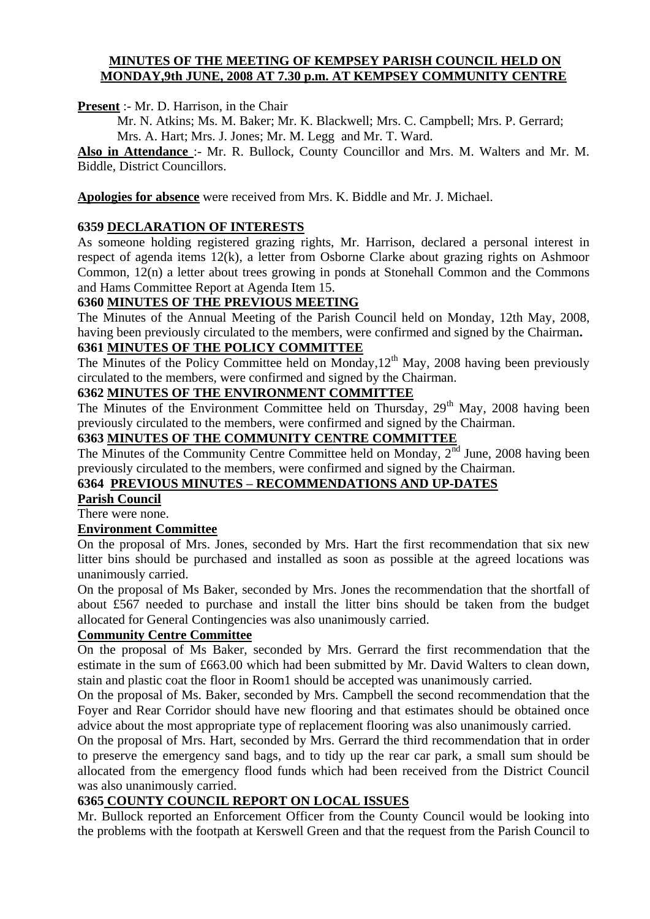#### **MINUTES OF THE MEETING OF KEMPSEY PARISH COUNCIL HELD ON MONDAY,9th JUNE, 2008 AT 7.30 p.m. AT KEMPSEY COMMUNITY CENTRE**

**Present** :- Mr. D. Harrison, in the Chair

Mr. N. Atkins; Ms. M. Baker; Mr. K. Blackwell; Mrs. C. Campbell; Mrs. P. Gerrard; Mrs. A. Hart; Mrs. J. Jones; Mr. M. Legg and Mr. T. Ward.

**Also in Attendance** :- Mr. R. Bullock, County Councillor and Mrs. M. Walters and Mr. M. Biddle, District Councillors.

**Apologies for absence** were received from Mrs. K. Biddle and Mr. J. Michael.

# **6359 DECLARATION OF INTERESTS**

As someone holding registered grazing rights, Mr. Harrison, declared a personal interest in respect of agenda items 12(k), a letter from Osborne Clarke about grazing rights on Ashmoor Common, 12(n) a letter about trees growing in ponds at Stonehall Common and the Commons and Hams Committee Report at Agenda Item 15.

# **6360 MINUTES OF THE PREVIOUS MEETING**

The Minutes of the Annual Meeting of the Parish Council held on Monday, 12th May, 2008, having been previously circulated to the members, were confirmed and signed by the Chairman**.**

# **6361 MINUTES OF THE POLICY COMMITTEE**

The Minutes of the Policy Committee held on Monday,  $12<sup>th</sup>$  May, 2008 having been previously circulated to the members, were confirmed and signed by the Chairman.

#### **6362 MINUTES OF THE ENVIRONMENT COMMITTEE**

The Minutes of the Environment Committee held on Thursday,  $29<sup>th</sup>$  May, 2008 having been previously circulated to the members, were confirmed and signed by the Chairman.

# **6363 MINUTES OF THE COMMUNITY CENTRE COMMITTEE**

The Minutes of the Community Centre Committee held on Monday,  $2^{nd}$  June, 2008 having been previously circulated to the members, were confirmed and signed by the Chairman.

# **6364 PREVIOUS MINUTES – RECOMMENDATIONS AND UP-DATES**

**Parish Council**

There were none.

# **Environment Committee**

On the proposal of Mrs. Jones, seconded by Mrs. Hart the first recommendation that six new litter bins should be purchased and installed as soon as possible at the agreed locations was unanimously carried.

On the proposal of Ms Baker, seconded by Mrs. Jones the recommendation that the shortfall of about £567 needed to purchase and install the litter bins should be taken from the budget allocated for General Contingencies was also unanimously carried.

# **Community Centre Committee**

On the proposal of Ms Baker, seconded by Mrs. Gerrard the first recommendation that the estimate in the sum of £663.00 which had been submitted by Mr. David Walters to clean down, stain and plastic coat the floor in Room1 should be accepted was unanimously carried.

On the proposal of Ms. Baker, seconded by Mrs. Campbell the second recommendation that the Foyer and Rear Corridor should have new flooring and that estimates should be obtained once advice about the most appropriate type of replacement flooring was also unanimously carried.

On the proposal of Mrs. Hart, seconded by Mrs. Gerrard the third recommendation that in order to preserve the emergency sand bags, and to tidy up the rear car park, a small sum should be allocated from the emergency flood funds which had been received from the District Council was also unanimously carried.

# **6365 COUNTY COUNCIL REPORT ON LOCAL ISSUES**

Mr. Bullock reported an Enforcement Officer from the County Council would be looking into the problems with the footpath at Kerswell Green and that the request from the Parish Council to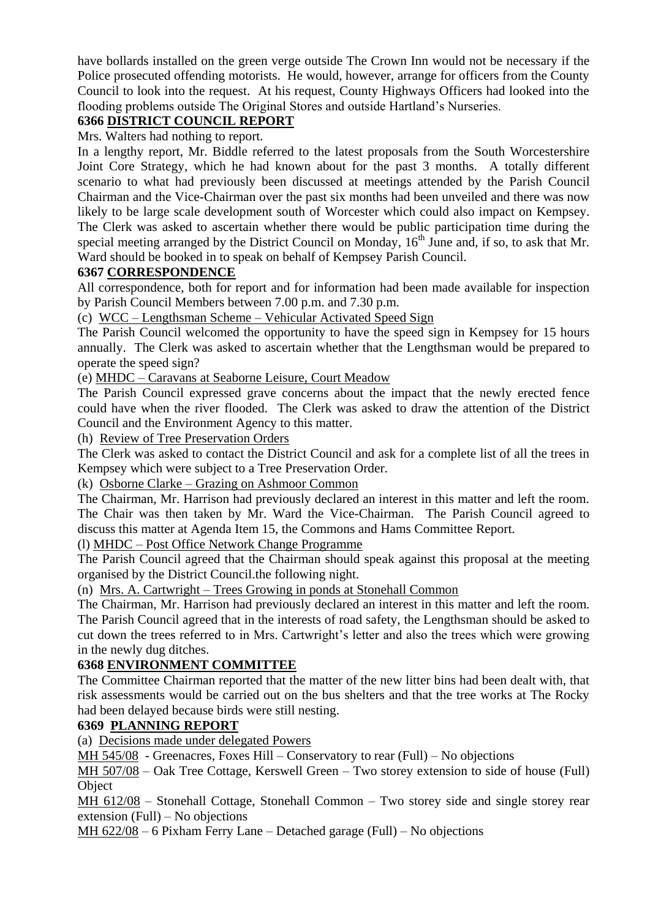have bollards installed on the green verge outside The Crown Inn would not be necessary if the Police prosecuted offending motorists. He would, however, arrange for officers from the County Council to look into the request. At his request, County Highways Officers had looked into the flooding problems outside The Original Stores and outside Hartland's Nurseries.

# **6366 DISTRICT COUNCIL REPORT**

Mrs. Walters had nothing to report.

In a lengthy report, Mr. Biddle referred to the latest proposals from the South Worcestershire Joint Core Strategy, which he had known about for the past 3 months. A totally different scenario to what had previously been discussed at meetings attended by the Parish Council Chairman and the Vice-Chairman over the past six months had been unveiled and there was now likely to be large scale development south of Worcester which could also impact on Kempsey. The Clerk was asked to ascertain whether there would be public participation time during the special meeting arranged by the District Council on Monday,  $16<sup>th</sup>$  June and, if so, to ask that Mr. Ward should be booked in to speak on behalf of Kempsey Parish Council.

#### **6367 CORRESPONDENCE**

All correspondence, both for report and for information had been made available for inspection by Parish Council Members between 7.00 p.m. and 7.30 p.m.

(c) WCC – Lengthsman Scheme – Vehicular Activated Speed Sign

The Parish Council welcomed the opportunity to have the speed sign in Kempsey for 15 hours annually. The Clerk was asked to ascertain whether that the Lengthsman would be prepared to operate the speed sign?

(e) MHDC – Caravans at Seaborne Leisure, Court Meadow

The Parish Council expressed grave concerns about the impact that the newly erected fence could have when the river flooded. The Clerk was asked to draw the attention of the District Council and the Environment Agency to this matter.

(h) Review of Tree Preservation Orders

The Clerk was asked to contact the District Council and ask for a complete list of all the trees in Kempsey which were subject to a Tree Preservation Order.

(k) Osborne Clarke – Grazing on Ashmoor Common

The Chairman, Mr. Harrison had previously declared an interest in this matter and left the room. The Chair was then taken by Mr. Ward the Vice-Chairman. The Parish Council agreed to discuss this matter at Agenda Item 15, the Commons and Hams Committee Report.

(l) MHDC – Post Office Network Change Programme

The Parish Council agreed that the Chairman should speak against this proposal at the meeting organised by the District Council.the following night.

(n) Mrs. A. Cartwright – Trees Growing in ponds at Stonehall Common

The Chairman, Mr. Harrison had previously declared an interest in this matter and left the room. The Parish Council agreed that in the interests of road safety, the Lengthsman should be asked to cut down the trees referred to in Mrs. Cartwright's letter and also the trees which were growing in the newly dug ditches.

#### **6368 ENVIRONMENT COMMITTEE**

The Committee Chairman reported that the matter of the new litter bins had been dealt with, that risk assessments would be carried out on the bus shelters and that the tree works at The Rocky had been delayed because birds were still nesting.

#### **6369 PLANNING REPORT**

(a) Decisions made under delegated Powers

MH 545/08 - Greenacres, Foxes Hill – Conservatory to rear (Full) – No objections

MH 507/08 – Oak Tree Cottage, Kerswell Green – Two storey extension to side of house (Full) **Object** 

MH 612/08 – Stonehall Cottage, Stonehall Common – Two storey side and single storey rear extension (Full) – No objections

MH 622/08 – 6 Pixham Ferry Lane – Detached garage (Full) – No objections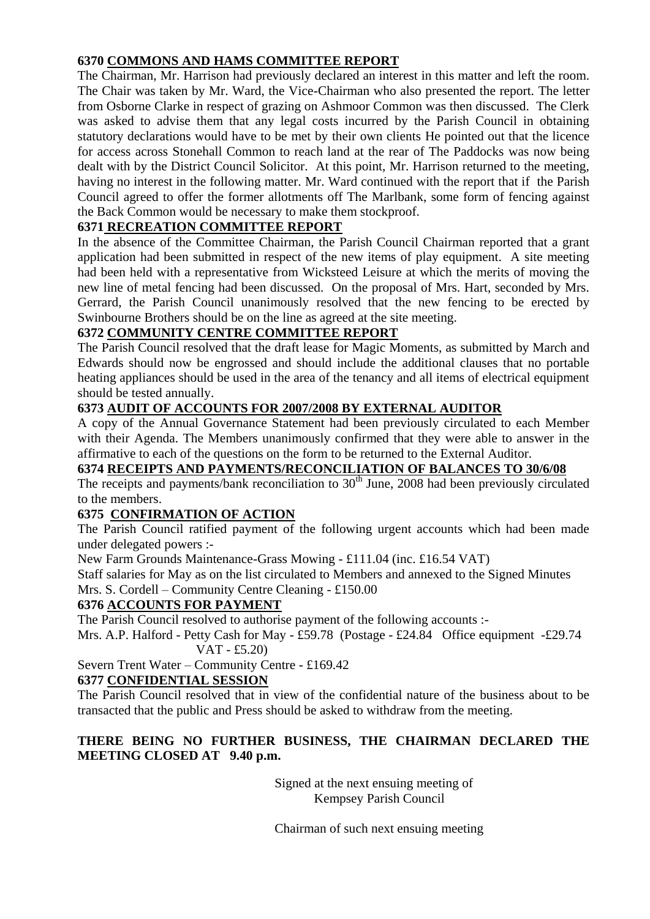# **6370 COMMONS AND HAMS COMMITTEE REPORT**

The Chairman, Mr. Harrison had previously declared an interest in this matter and left the room. The Chair was taken by Mr. Ward, the Vice-Chairman who also presented the report. The letter from Osborne Clarke in respect of grazing on Ashmoor Common was then discussed. The Clerk was asked to advise them that any legal costs incurred by the Parish Council in obtaining statutory declarations would have to be met by their own clients He pointed out that the licence for access across Stonehall Common to reach land at the rear of The Paddocks was now being dealt with by the District Council Solicitor. At this point, Mr. Harrison returned to the meeting, having no interest in the following matter. Mr. Ward continued with the report that if the Parish Council agreed to offer the former allotments off The Marlbank, some form of fencing against the Back Common would be necessary to make them stockproof.

# **6371 RECREATION COMMITTEE REPORT**

In the absence of the Committee Chairman, the Parish Council Chairman reported that a grant application had been submitted in respect of the new items of play equipment. A site meeting had been held with a representative from Wicksteed Leisure at which the merits of moving the new line of metal fencing had been discussed. On the proposal of Mrs. Hart, seconded by Mrs. Gerrard, the Parish Council unanimously resolved that the new fencing to be erected by Swinbourne Brothers should be on the line as agreed at the site meeting.

# **6372 COMMUNITY CENTRE COMMITTEE REPORT**

The Parish Council resolved that the draft lease for Magic Moments, as submitted by March and Edwards should now be engrossed and should include the additional clauses that no portable heating appliances should be used in the area of the tenancy and all items of electrical equipment should be tested annually.

# **6373 AUDIT OF ACCOUNTS FOR 2007/2008 BY EXTERNAL AUDITOR**

A copy of the Annual Governance Statement had been previously circulated to each Member with their Agenda. The Members unanimously confirmed that they were able to answer in the affirmative to each of the questions on the form to be returned to the External Auditor.

# **6374 RECEIPTS AND PAYMENTS/RECONCILIATION OF BALANCES TO 30/6/08**

The receipts and payments/bank reconciliation to  $30<sup>th</sup>$  June, 2008 had been previously circulated to the members.

# **6375 CONFIRMATION OF ACTION**

The Parish Council ratified payment of the following urgent accounts which had been made under delegated powers :-

New Farm Grounds Maintenance-Grass Mowing - £111.04 (inc. £16.54 VAT)

Staff salaries for May as on the list circulated to Members and annexed to the Signed Minutes Mrs. S. Cordell – Community Centre Cleaning - £150.00

# **6376 ACCOUNTS FOR PAYMENT**

The Parish Council resolved to authorise payment of the following accounts :-

Mrs. A.P. Halford - Petty Cash for May - £59.78 (Postage - £24.84 Office equipment -£29.74 VAT - £5.20)

Severn Trent Water – Community Centre - £169.42

# **6377 CONFIDENTIAL SESSION**

The Parish Council resolved that in view of the confidential nature of the business about to be transacted that the public and Press should be asked to withdraw from the meeting.

# **THERE BEING NO FURTHER BUSINESS, THE CHAIRMAN DECLARED THE MEETING CLOSED AT 9.40 p.m.**

Signed at the next ensuing meeting of Kempsey Parish Council

Chairman of such next ensuing meeting